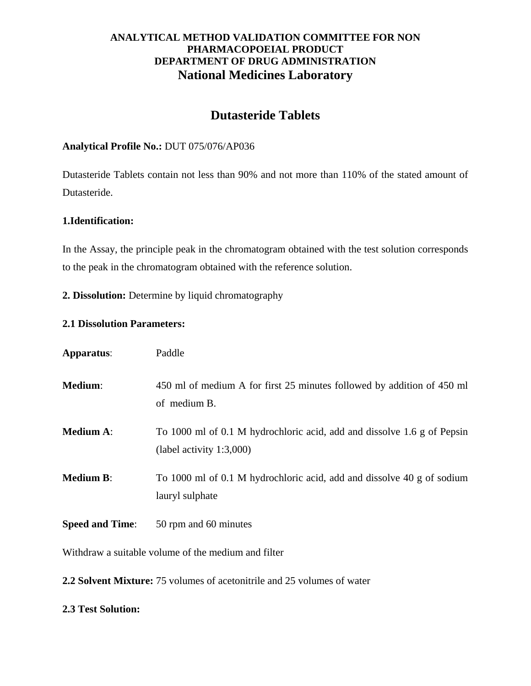# **Dutasteride Tablets**

#### **Analytical Profile No.:** DUT 075/076/AP036

Dutasteride Tablets contain not less than 90% and not more than 110% of the stated amount of Dutasteride.

#### **1.Identification:**

In the Assay, the principle peak in the chromatogram obtained with the test solution corresponds to the peak in the chromatogram obtained with the reference solution.

**2. Dissolution:** Determine by liquid chromatography

#### **2.1 Dissolution Parameters:**

| Apparatus:             | Paddle                                                                                              |
|------------------------|-----------------------------------------------------------------------------------------------------|
| Medium:                | 450 ml of medium A for first 25 minutes followed by addition of 450 ml<br>of medium B.              |
| <b>Medium A:</b>       | To 1000 ml of 0.1 M hydrochloric acid, add and dissolve 1.6 g of Pepsin<br>(label activity 1:3,000) |
| <b>Medium B:</b>       | To 1000 ml of 0.1 M hydrochloric acid, add and dissolve 40 g of sodium<br>lauryl sulphate           |
| <b>Speed and Time:</b> | 50 rpm and 60 minutes                                                                               |

Withdraw a suitable volume of the medium and filter

**2.2 Solvent Mixture:** 75 volumes of acetonitrile and 25 volumes of water

#### **2.3 Test Solution:**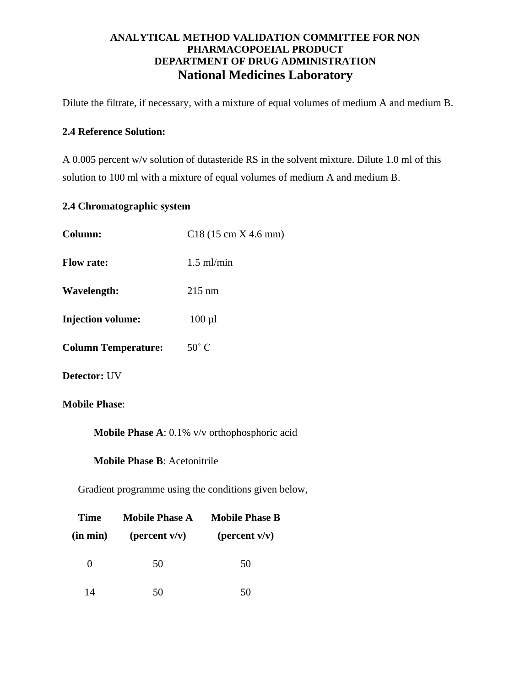Dilute the filtrate, if necessary, with a mixture of equal volumes of medium A and medium B.

#### **2.4 Reference Solution:**

A 0.005 percent w/v solution of dutasteride RS in the solvent mixture. Dilute 1.0 ml of this solution to 100 ml with a mixture of equal volumes of medium A and medium B.

# **2.4 Chromatographic system**

| Column:                    | $C18(15 \text{ cm X } 4.6 \text{ mm})$ |
|----------------------------|----------------------------------------|
| <b>Flow rate:</b>          | $1.5$ ml/min                           |
| Wavelength:                | $215$ nm                               |
| <b>Injection volume:</b>   | $100 \mu l$                            |
| <b>Column Temperature:</b> | $50^{\circ}$ C                         |
| <b>Detector: UV</b>        |                                        |
| <b>Mobile Phase:</b>       |                                        |

**Mobile Phase A**: 0.1% v/v orthophosphoric acid

**Mobile Phase B**: Acetonitrile

Gradient programme using the conditions given below,

| Time         | <b>Mobile Phase A</b> | <b>Mobile Phase B</b> |
|--------------|-----------------------|-----------------------|
| $(in \ min)$ | (percent $v/v$ )      | (percent $v/v$ )      |
| 0            | 50                    | 50                    |
| 14           | 50                    | 50                    |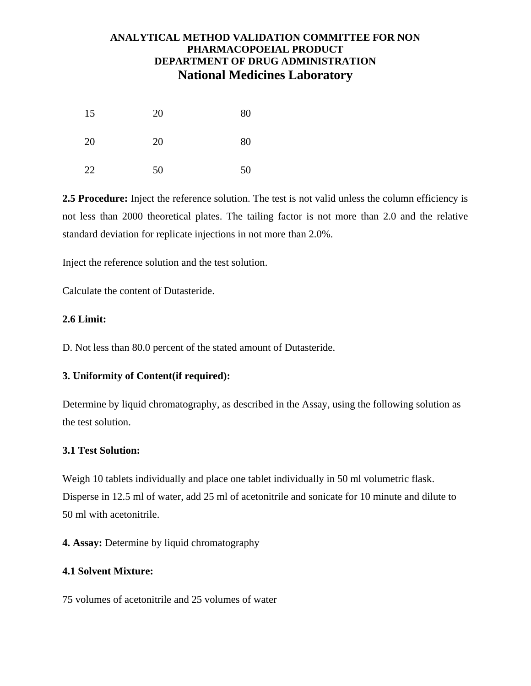| 15 | 20 | 80 |
|----|----|----|
| 20 | 20 | 80 |
| 22 | 50 | 50 |

**2.5 Procedure:** Inject the reference solution. The test is not valid unless the column efficiency is not less than 2000 theoretical plates. The tailing factor is not more than 2.0 and the relative standard deviation for replicate injections in not more than 2.0%.

Inject the reference solution and the test solution.

Calculate the content of Dutasteride.

## **2.6 Limit:**

D. Not less than 80.0 percent of the stated amount of Dutasteride.

## **3. Uniformity of Content(if required):**

Determine by liquid chromatography, as described in the Assay, using the following solution as the test solution.

## **3.1 Test Solution:**

Weigh 10 tablets individually and place one tablet individually in 50 ml volumetric flask. Disperse in 12.5 ml of water, add 25 ml of acetonitrile and sonicate for 10 minute and dilute to 50 ml with acetonitrile.

**4. Assay:** Determine by liquid chromatography

## **4.1 Solvent Mixture:**

75 volumes of acetonitrile and 25 volumes of water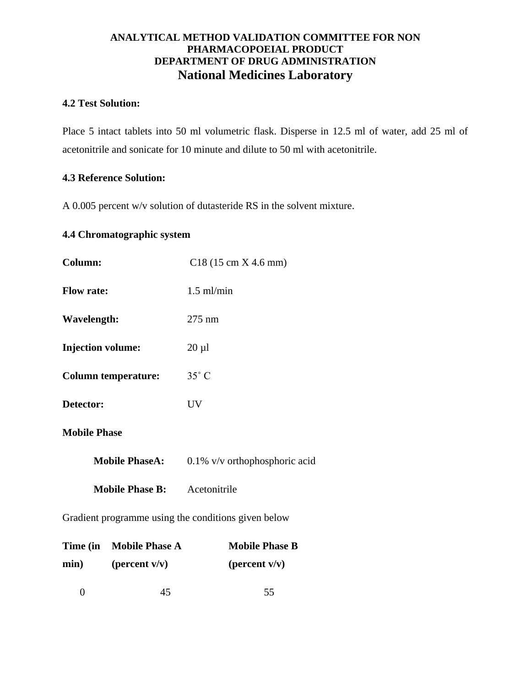## **4.2 Test Solution:**

Place 5 intact tablets into 50 ml volumetric flask. Disperse in 12.5 ml of water, add 25 ml of acetonitrile and sonicate for 10 minute and dilute to 50 ml with acetonitrile.

## **4.3 Reference Solution:**

A 0.005 percent w/v solution of dutasteride RS in the solvent mixture.

## **4.4 Chromatographic system**

| Column:                             | $C18(15 \text{ cm X } 4.6 \text{ mm})$ |
|-------------------------------------|----------------------------------------|
| <b>Flow rate:</b>                   | $1.5$ ml/min                           |
| <b>Wavelength:</b>                  | 275 nm                                 |
| <b>Injection volume:</b>            | $20 \mu l$                             |
| <b>Column temperature:</b>          | $35^\circ$ C                           |
| Detector:                           | <b>UV</b>                              |
| <b>Mobile Phase</b>                 |                                        |
| <b>Mobile PhaseA:</b>               | $0.1\%$ v/v orthophosphoric acid       |
| <b>Mobile Phase B:</b> Acetonitrile |                                        |
|                                     |                                        |

Gradient programme using the conditions given below

|      | Time (in Mobile Phase A | <b>Mobile Phase B</b> |
|------|-------------------------|-----------------------|
| min) | (percent $v/v$ )        | (percent $v/v$ )      |

0  $45$  55